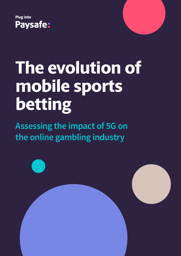



**Assessing the impact of 5G on the online gambling industry**

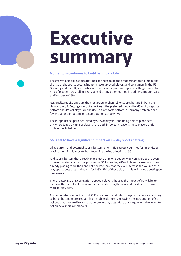# **Executive summary**

#### **Momentum continues to build behind mobile**

The growth of mobile sports betting continues to be the predominant trend impacting the rise of the sports betting industry. We surveyed players and consumers in the US, Germany and the UK, and mobile apps remain the preferred sports betting channel for 37% of players across all markets, ahead of any other method including computer (31%) and in-person (26%).

Regionally, mobile apps are the most popular channel for sports betting in both the UK and the US. Betting on mobile devices is the preferred method for 43% of UK sports bettors and 34% of players in the US. 32% of sports bettors in Germany prefer mobile, fewer than prefer betting on a computer or laptop (44%).

The in-app user experience (cited by 53% of players), and being able to place bets anywhere (cited by 55% of players), are both important reasons these players prefer mobile sports betting.

#### **5G is set to have a significant impact on in-play sports betting**

Of all current and potential sports bettors, one-in-five across countries (18%) envisage placing more in-play sports bets following the introduction of 5G.

And sports bettors that already place more than one bet per week on average are even more enthusiastic about the prospect of 5G for in-play. 42% of players across countries already placing more than one bet per week say that they will increase the volume of inplay sports bets they make, and for half (21%) of these players this will include betting on new events.

There is also a strong correlation between players that say the impact of 5G will be to increase the overall volume of mobile sports betting they do, and the desire to make more in-play bets.

Across countries, more than half (54%) of current and future players that foresee starting to bet or betting more frequently on mobile platforms following the introduction of 5G believe that they are likely to place more in-play bets. More than a quarter (27%) want to bet on new sports or markets.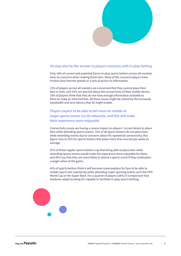

#### **5G may also be the answer to players concerns with in-play betting**

Only 14% of current and potential future in-play sports bettors across all markets have no concerns when making these bets. Many of the concerns players have involve slow internet speeds or a lack of access to information.

22% of players across all markets are concerned that they cannot place their bets in time, and 19% are worried about the connectivity of their mobile device. 18% of players think that they do not have enough information available to them to make an informed bet. All these issues might be solved by the increased bandwidth and zero latency that 5G might enable.

#### **Players expect to be able to bet more on mobile at major sports events via 5G networks, and this will make their experience more enjoyable**

Connectivity issues are having a severe impact on players' current desire to place bets while attending sports events. 31% of all sports bettors do not place bets while attending events due to concerns about 4G-epowered connectivity; this figure rises to 51% for sports bettors that place more than one bet per week on average.

52% of these regular sports bettors say that being able to place bets while attending sports events would make the experience more enjoyable for them, and 45% say that they are more likely to attend a sports event if they could place a wager when at the game.

41% of sports bettors think it will become commonplace for fans to be able to mobile sports bet seamlessly while attending major sporting events such the FIFA World Cup or the Super Bowl. For a quarter of players (26%) it is important that stadiums adapt to being 5G-capable to facilitate in-play sports betting.

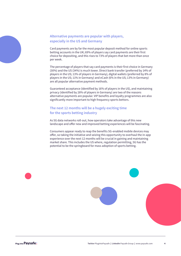#### **Alternative payments are popular with players, especially in the US and Germany**

Card payments are by far the most popular deposit method for online sports betting accounts in the UK; 69% of players say card payments are their first choice for depositing, and this rises to 73% of players that bet more than once per week.

The percentage of players that say card payments is their first choice in Germany (30%) and the US (34%) is much lower. Direct bank transfer (preferred by 14% of players in the US; 13% of players in Germany), digital wallets (preferred by 8% of players in the US; 11% in Germany) and eCash (6% in the US; 13% in Germany) are all popular alternative payment methods.

Guaranteed acceptance (identified by 16% of players in the US), and maintaining privacy (identified by 28% of players in Germany) are two of the reasons alternative payments are popular. VIP benefits and loyalty programmes are also significantly more important to high frequency sports bettors.

#### **The next 12 months will be a hugely exciting time for the sports betting industry**

As 5G data networks roll-out, how operators take advantage of this new landscape and offer new and improved betting experiences will be fascinating.

Consumers appear ready to reap the benefits 5G-enabled mobile devices may offer, so taking the initiative and seizing this opportunity to overhaul the in-app experience over the next 12 months will be crucial in gaining and maintaining market share. This includes the US where, regulation permitting, 5G has the potential to be the springboard for mass adoption of sports betting.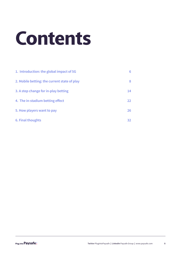# **Contents**

| 1. Introduction: the global impact of 5G     | 6  |
|----------------------------------------------|----|
| 2. Mobile betting: the current state of play | 8  |
| 3. A step change for in-play betting         | 14 |
| 4. The in-stadium betting effect             | 22 |
| 5. How players want to pay                   | 26 |
| 6. Final thoughts                            | 32 |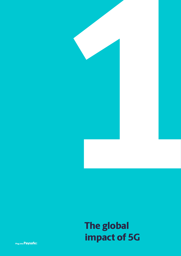

# **impact of 5G The global**

Plug into **Paysafe:**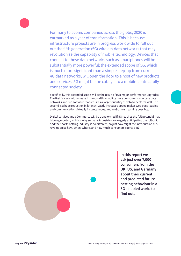

For many telecoms companies across the globe, 2020 is earmarked as a year of transformation. This is because infrastructure projects are in progress worldwide to roll out out the fifth generation (5G) wireless data networks that may revolutionise the capability of mobile technology. Devices that connect to these data networks such as smartphones will be substantially more powerful; the extended scope of 5G, which is much more significant than a simple step-up from current 4G data networks, will open the door to a host of new products and services. 5G might be the catalyst to a mobile-centric, fully connected society.

Specifically, this extended scope will be the result of two major performance upgrades. The first is a seismic increase in bandwidth, enabling more consumers to access data networks and run software that requires a larger quantity of data to perform well. The second is a huge reduction in latency; vastly increased speed makes web page loading and communication virtually instantaneous, and real-time streaming possible.

Digital services and eCommerce will be transformed if 5G reaches the full potential that is being mooted, which is why so many industries are eagerly anticipating the roll-out. And the sports betting industry is no different, so just how might the introduction of 5G revolutionise how, when, where, and how much consumers sports bet?



**In this report we ask just over 7,000 consumers from the UK, US, and Germany about their current and predicted future betting behaviour in a 5G-enabled world to find out.**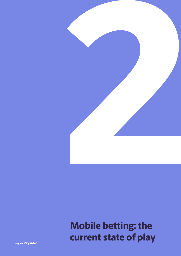

# **Mobile betting: the current state of play**

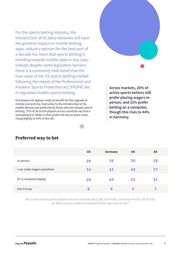For the sports betting industry, the introduction of 5G data networks will have the greatest impact on mobile betting apps. Industry opinion for the best part of a decade has been that sports betting is trending towards mobile apps in any case; indeed, despite some legislation barriers there is a commonly held belief that the true value of the US sports betting market following the repeal of the Professional and Amateur Sports Protection Act (PASPA) lies in regulated mobile sports betting.

And players do appear ready to benefit for the upgrade in mobile connectivity. Even prior to the introduction of 5G, mobile devices are preferred by those who are already sports betting. 37% of all active players across countries say that a smartphone or tablet is their preferred way to place a bet, rising slightly to 43% in the UK.

**Across markets, 26% of active sports bettors still prefer placing wagers inperson, and 31% prefer betting on a computer, though this rises to 44% in Germany.**



## **Preferred way to bet**

All current active sports bettors (across countries N=1,555, US N=545, Germany N=419, UK N=591) O: What is your preferred method of placing a sports bet?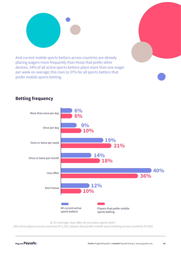

And current mobile sports bettors across countries are already placing wagers more frequently than those that prefer other devices. 34% of all active sports bettors place more than one wager per week on average; this rises to 37% for all sports bettors that prefer mobile sports betting.



### **Betting frequency**

Q: On average, how often do you place sports bets?

(All active players across countries N=1,555, players that prefer mobile sports betting across countries N=553)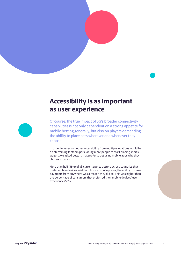

## **Accessibility is as important as user experience**



Of course, the true impact of 5G's broader connectivity capabilities is not only dependent on a strong appetite for mobile betting generally, but also on players demanding the ability to place bets wherever and whenever they choose.

In order to assess whether accessibility from multiple locations would be a determining factor in persuading more people to start placing sports wagers, we asked bettors that prefer to bet using mobile apps why they choose to do so.

More than half (55%) of all current sports bettors across countries that prefer mobile devices said that, from a list of options, the ability to make payments from anywhere was a reason they did so. This was higher than the percentage of consumers that preferred their mobile devices' user experience (53%).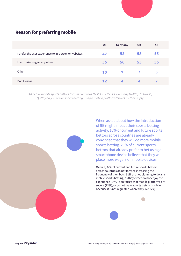|                                                       | <b>US</b> | Germany | <b>UK</b> | All |
|-------------------------------------------------------|-----------|---------|-----------|-----|
| I prefer the user experience to in-person or websites | 47        | 52      | 58        | 53  |
| I can make wagers anywhere                            | 55        | 56      | 55        | 55  |
| Other                                                 | <b>10</b> | 1       | 3         | 5   |
| Don't know                                            | 12        | 4       | 4         |     |

### **Reason for preferring mobile**

All active mobile sports bettors (across countries N=553, US N=175, Germany N=128, UK N=250) Q: Why do you prefer sports betting using a mobile platform? Select all that apply.



When asked about how the introduction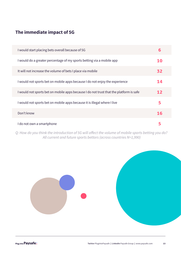## **The immediate impact of 5G**

| I would start placing bets overall because of 5G                                       | 6         |
|----------------------------------------------------------------------------------------|-----------|
| I would do a greater percentage of my sports betting via a mobile app                  | 10        |
| It will not increase the volume of bets I place via mobile                             | 32        |
| I would not sports bet on mobile apps because I do not enjoy the experience            | 14        |
| I would not sports bet on mobile apps because I do not trust that the platform is safe | 12        |
| I would not sports bet on mobile apps because it is illegal where I live               | 5         |
| Don't know                                                                             | <b>16</b> |
| I do not own a smartphone                                                              | 5         |

Q: How do you think the introduction of 5G will affect the volume of mobile sports betting you do?  $\overline{a}$ All current and future sports bettors (across countries N=1,990)

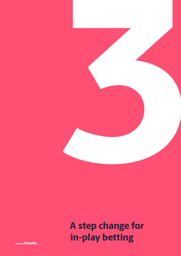

# **A step change for in-play betting**

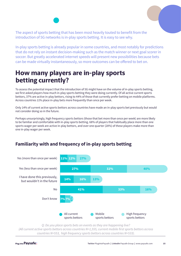The aspect of sports betting that has been most heavily touted to benefit from the introduction of 5G networks is in-play sports betting. It is easy to see why.

In-play sports betting is already popular in some countries, and most notably for predictions that do not rely on instant decision-making such as the match winner or next goal scorer in soccer. But greatly accelerated internet speeds will present new possibilities because bets can be made virtually instantaneously, so more outcomes can be offered to bet on.

## **How many players are in-play sports betting currently?**

To assess the potential impact that the introduction of 5G might have on the volume of in-play sports betting, we first asked players how much in-play sports betting they were doing currently. Of all active current sports bettors, 37% are active in-play bettors, rising to 44% of those that currently prefer betting on mobile platforms. Across countries 11% place in-play bets more frequently than once per week.

Only 14% of current active sports bettors across countries have made an in-play sports bet previously but would not consider doing so in the future.

Perhaps unsurprisingly, high frequency sports bettors (those that bet more than once per week) are more likely to be familiar and comfortable with in-play sports betting. 68% of players that habitually place more than one sports wager per week are active in-play bettors, and over one quarter (28%) of these players make more than one in-play wager per week.

## **Familiarity with and frequency of in-play sports betting**



Q: Do you place sports bets on events as they are happening live? (All current active sports bettors across countries N=1,555, current mobile first sports bettors across countries N=553, high frequency sports bettors across countries N=533).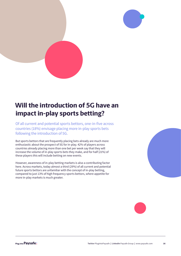

## **Will the introduction of 5G have an impact in-play sports betting?**

Of all current and potential sports bettors, one-in-five across countries (18%) envisage placing more in-play sports bets following the introduction of 5G.

But sports bettors that are frequently placing bets already are much more enthusiastic about the prospect of 5G for in-play. 42% of players across countries already placing more than one bet per week say that they will increase the volume of in-play sports bets they make, and for half (21%) of these players this will include betting on new events.

However, awareness of in-play betting markets is also a contributing factor here. Across markets, today almost a third (29%) of all current and potential future sports bettors are unfamiliar with the concept of in-play betting, compared to just 13% of high frequency sports bettors, where appetite for more in-play markets is much greater.



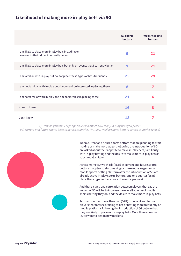## **Likelihood of making more in-play bets via 5G**

|                                                                                                  | <b>All sports</b><br><b>bettors</b> | <b>Weekly sports</b><br><b>bettors</b> |
|--------------------------------------------------------------------------------------------------|-------------------------------------|----------------------------------------|
| I am likely to place more in-play bets including on<br>new events that I do not currently bet on | 9                                   | 21                                     |
| I am likely to place more in-play bets but only on events that I currently bet on                | 9                                   | 21                                     |
| I am familiar with in-play but do not place these types of bets frequently                       | 25                                  | 29                                     |
| I am not familiar with in-play bets but would be interested in placing these                     | 8                                   | 7                                      |
| I am not familiar with in-play and am not interest in placing these                              | 21                                  | 6                                      |
| None of these                                                                                    | <b>16</b>                           | 8                                      |
| Don't know                                                                                       | 12                                  |                                        |

Q: How do you think high speed 5G will affect how many in-play bets you place? (All current and future sports bettors across countries, N=1,990, weekly sports bettors across countries N=553)



When current and future sports bettors that are planning to start making or make more wagers following the introduction of 5G are asked about their appetite to make in-play bets, familiarity with in-play betting and the desire to make more in-play bets is substantially higher.

Across markets, two thirds (65%) of current and future sports bettors that plan to start making or make more wagers on a mobile sports betting platform after the introduction of 5G are already active in-play sports bettors, and one quarter (25%) place these types of bets more than once per week.

And there is a strong correlation between players that say the impact of 5G will be to increase the overall volume of mobile sports betting they do, and the desire to make more in-play bets.

Across countries, more than half (54%) of current and future players that foresee starting to bet or betting more frequently on mobile platforms following the introduction of 5G believe that they are likely to place more in-play bets. More than a quarter (27%) want to bet on new markets.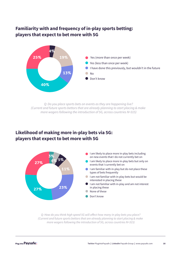#### out the contract of the contract of the contract of the contract of the contract of the contract of the contract of the contract of the contract of the contract of the contract of the contract of the contract of the contra Familiarity with and frequency of in-play sports betting: **players that expect to bet more with 5G**



Q: Do you place sports bets on events as they are happening live? (Current and future sports bettors that are already planning to start placing & make more wagers following the introduction of 5G, across countries N=315)

## **3%**  **players that expect to bet more with 5GLikelihood of making more in-play bets via 5G:**

<u> 1989 - Johann Stoff, deutscher Stoff, der Stoff, der Stoff, der Stoff, der Stoff, der Stoff, der Stoff, der S</u>



Q: How do you think high speed 5G will affect how many in-play bets you place? (Current and future sports bettors that are already planning to start placing & make more wagers following the introduction of 5G, across countries N=315)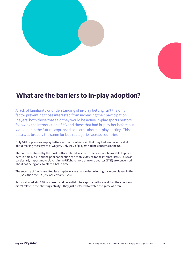



## **What are the barriers to in-play adoption?**

A lack of familiarity or understanding of in-play betting isn't the only factor preventing those interested from increasing their participation. Players, both those that said they would be active in-play sports bettors following the introduction of 5G and those that had in-play bet before but would not in the future, expressed concerns about in-play betting. This data was broadly the same for both categories across countries.

Only 14% of previous in-play bettors across countries said that they had no concerns at all about making these types of wagers. Only 10% of players had no concerns in the US.

The concerns shared by the most bettors related to speed of service; not being able to place bets in time (22%) and the poor connection of a mobile device to the internet (19%). This was particularly important to players in the UK; here more than one quarter (27%) are concerned about not being able to place a bet in time.

The security of funds used to place in-play wagers was an issue for slightly more players in the US (17%) than the UK (9%) or Germany (12%).

Across all markets, 22% of current and potential future sports bettors said that their concern didn't relate to their betting activity – they just preferred to watch the game as a fan.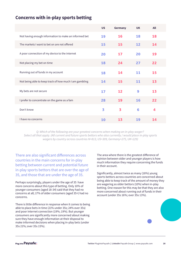### **Concerns with in-play sports betting**

|                                                        | <b>US</b> | <b>Germany</b>          | <b>UK</b> | <b>All</b> |
|--------------------------------------------------------|-----------|-------------------------|-----------|------------|
| Not having enough information to make an informed bet  | 19        | 16                      | 18        | 18         |
| The markets I want to bet on are not offered           | 15        | 15                      | 12        | 14         |
| A poor connection of my device to the internet         | 20        | 17                      | 20        | 19         |
| Not placing my bet on time                             | 18        | 24                      | 27        | 22         |
| Running out of funds in my account                     | 18        | 14                      | 11        | 15         |
| Not being able to keep track of how much I am gambling | 14        | 15                      | 11        | 13         |
| My bets are not secure                                 | 17        | 12                      | 9         | 13         |
| I prefer to concentrate on the game as a fam           | 28        | 19                      | 16        | 22         |
| Don't know                                             | 3         | $\overline{\mathbf{3}}$ | 6         | 4          |
| I have no concerns                                     | 10        | 13                      | 19        | 14         |

Q: Which of the following are your greatest concerns when making an in-play wager? Select all that apply. (All current and future sports bettors who also currently / would place in-play sports wagers by country across countries N=813, US=309, Germany=275, UK=229)

There are also significant differences across countries in the main concerns for in-play betting between current and potential future in-play sports bettors that are over the age of 35, and those that are under the age of 35.

Perhaps surprisingly, players under the age of 35 have more concerns about this type of betting. Only 10% of younger consumers (aged 18-34) said that they had no concerns at all; 17% of older consumers (aged 35+) had no concerns.

There is little difference in response when it comes to being able to place bets in time (21% under 35s; 24% over 35s) and poor internet connection (19%; 19%). But younger consumers are significantly more concerned about making sure they have enough information at their disposal to make informed decisions when placing in-play bets (under 35s 21%; over 35s 15%).

The area where there is the greatest difference of opinion between older and younger players is how much information they require concerning the funds in their account.

Significantly, almost twice as many (18%) young sports bettors across countries are concerned about being able to keep track of the amount of money they are wagering as older bettors (10%) when in-play betting. One reason for this may be that they are also more concerned about running out of funds in their account (under 35s 16%; over 35s 13%).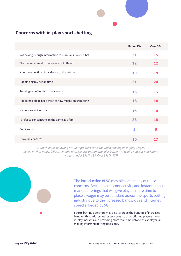

## **Concerns with in-play sports betting**

|                                                        | <b>Under 35s</b> | Over 35s |
|--------------------------------------------------------|------------------|----------|
| Not having enough information to make an informed bet  | 21               | 15       |
| The markets I want to bet on are not offered           | 12               | 12       |
| A poor connection of my device to the internet         | 19               | 19       |
| Not placing my bet on time                             | 21               | 24       |
| Running out of funds in my account                     | 16               | 13       |
| Not being able to keep track of how much I am gambling | 18               | 10       |
| My bets are not secure                                 | 13               | 14       |
| I prefer to concentrate on the game as a fam           | 26               | 18       |
| Don't know                                             | 5                | 3        |
| I have no concerns                                     | 10               | 17       |

Q: Which of the following are your greatest concerns when making an in-play wager? Select all that apply. (All current and future sports bettors who also currently / would place in-play sports wagers under 35s N=338. Over 35s N=475)

> The introduction of 5G may alleviate many of these concerns. Better overall connectivity and instantaneous market offerings that will give players more time to place a wager may be standard across the sports betting industry due to the increased bandwidth and internet speed afforded by 5G.

Sports betting operators may also leverage the benefits of increased bandwidth to address other concerns, such as offering players more in-play markets and providing more real-time data to assist players in making informed betting decisions.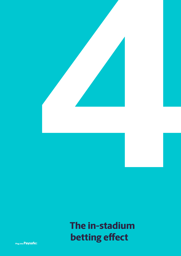

# **The in-stadium betting effect**

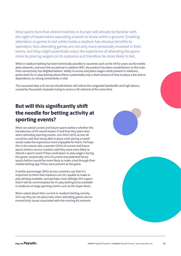Most sports fans that attend matches in Europe will already be familiar with the sight of bookmakers operating a booth or kiosk within a ground. Enabling attendees at games to bet while inside a stadium has obvious benefits to operators; fans attending games are not only more personally invested in their teams, but they might potentially enjoy the experience of attending the game more by placing wagers on its outcome and therefore be more likely to bet.

While in-stadium betting has been technically possible in countries such as the UK for years via 4G mobile data networks, and even the occasional in-stadium WiFi, the product has been unsatisfactory in the main. Poor connectivity has blighted bettors' ability to access and place wagers while present in stadiums, particularly for in-play betting where there is potentially only a short amount of time to place a bet and so dependency on strong connectivity is vital.

The increased data a 5G service should deliver will relieve the congested bandwidth and high latency caused by thousands of people trying to access a 4G network at the same time.

## **But will this significantly shift the needle for betting activity at sporting events?**

When we asked current and future sports bettors whether the introduction of 5G would impact if and how they place bets when attending sporting events, one third (32%) across all countries said that being able to place a bet during a match would make the experience more enjoyable for them. Perhaps this is the reason why a quarter (25%) of current and future sports bettors across markets said they were more likely to attend a sports event if they could place in-play wagers during the game; reciprocally 31% of current and potential future sports bettors would be more likely to make a bet through their mobile betting app if they were present at the game.

A similar percentage (26%) across countries say that it is important to them that stadiums are 5G capable to make inplay betting available, and perhaps most tellingly 41% expect that it will be commonplace for in-play betting to be available in stadiums at large sporting events such as the Super Bowl.

When asked about their current in-stadium betting activity, 31% say they do not place bets when attending games due to connectivity issues associated with the existing 4G network.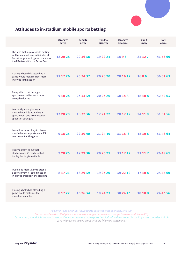

## **Attitudes to in-stadium mobile sports betting**

|                                                                                                                                                             | <b>Strongly</b><br>agree | <b>Tend to</b><br>agree | <b>Tend to</b><br>disagree | <b>Strongly</b><br>disagree | Don't<br>know | <b>Net</b><br>agree |
|-------------------------------------------------------------------------------------------------------------------------------------------------------------|--------------------------|-------------------------|----------------------------|-----------------------------|---------------|---------------------|
| I believe that in-play sports betting<br>will be a mainstream activity for all<br>fans at large sporting events such as<br>the FIFA World Cup or Super Bowl | 12 20 28                 | 29 36 38                | 19 22 21                   | 1696                        | 24 12 7       | 41 56 66            |
| Placing a bet while attending a<br>game would make me feel more<br>involved in the action                                                                   | 11 17 26                 | 25 34 37                | 20 25 20                   | 28 16 12                    | 1686          | 36 51 63            |
| Being able to bet during a<br>sports event will make it more<br>enjoyable for me                                                                            | 9 18 24                  | 23 34 39                | 20 23 20                   | 30 14 8                     | 18 10 8       | 32 52 63            |
| I currently avoid placing a<br>mobile bet while attending a<br>sports event due to connection<br>speeds or strengths                                        | 13 20 20                 | 18 32 36                | 17 21 22                   | 28 17 12                    | 24 11 9       | 31 51 56            |
| I would be more likely to place a<br>mobile bet on a sports event if I<br>was present at the game                                                           | 9 18 25                  | 22 30 40                | 21 24 19                   | 31 18 8                     | 18 10 8       | 31 48 64            |
| It is important to me that<br>stadiums are 5G ready so that<br>in-play betting is available                                                                 | 9 20 25                  | 17 29 36                | 20 23 21                   | 33 17 12                    | 21 11 7       | 26 49 61            |
| I would be more likely to attend<br>a sports event if I could place an<br>in-play sports bet in the stadium                                                 | 8 17 21                  | 18 29 39                | 19 23 20                   | 39 22 12                    | 17 10 8       | 25 45 60            |
| Placing a bet while attending a<br>game would make me feel<br>more like a real fan                                                                          | 8 17 22                  | 16 26 34                | 19 24 23                   | 38 24 13                    | 18 10 8       | 24 43 56            |

All current and potential future sports bettors (across countries, N=1,990)

Current sports bettors that place more than one wager per week on average (across countries N=533) Current and potential future sports bettors that expect to place more sports bets following the introduction of 5G (across countries N=315)

Q: To what extent do you agree with the following statements?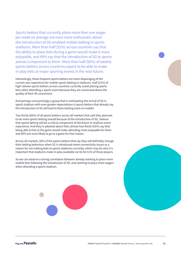Sports bettors that currently place more than one wager per week on average are even more enthusiatic about the introduction of 5G-enabled mobile betting in sports stadiums. More than half (52%) across countries say that the ability to place bets during a game would make it more enjoyable, and 49% say that the introduction of 5G to sports arenas is important to them. More than half (56%) of weekly sports bettors across countries expect to be able to make in-play bets at major sporting events in the near future.

Interestingly, these frequent sports bettors are more disparaging of the current user experience for mobile sports betting in stadiums. Half (51%) of high volume sports bettors across countries currently avoid placing sports bets when attending a sports event because they are concerned about the quality of their 4G connection.

And perhaps unsurprisingly a group that is anticipating the arrival of 5G in sports stadium with even greater expectations is sports bettors that already say the introduction of 5G will lead to them betting more on mobile.

Two thirds (66%) of all sports bettors across all markets that said they planned to do more sports betting overall because of the introduction of 5G, believe that sports betting will be a critical component of the future in-stadium event experience. And they're pleased about that; almost two thirds (63%) say that being able to bet at the game would make attending more enjoyable for them and 60% are more likely to go to a game for that reason.

Across all markets, 56% of the sports bettors that say they will definitely change their betting behaviour when 5G is introduced name connectivity issues as a reason for not making bets at sports stadiums currently, which may be why it is important that stadiums make in-play available via 5G for 61% of these players.

So we can observe a strong correlation between already wanting to place more mobile bets following the introduction of 5G, and wanting to place more wagers when attending a sports stadium.



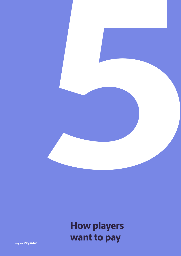

## **How players want to pay**

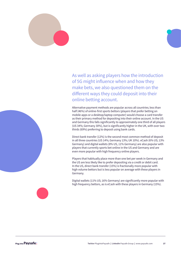

As well as asking players how the introduction of 5G might influence when and how they make bets, we also questioned them on the different ways they could deposit into their online betting account.

Alternative payment methods are popular across all countries; less than half (46%) of online-first sports bettors (players that prefer betting on mobile apps or a desktop/laptop computer) would choose a card transfer as their primary method for depositing into their online account. In the US and Germany this falls significantly to approximately one third of all players (US 34%; Germany 30%), but is significantly higher in the UK, with over two thirds (69%) preferring to deposit using bank cards.

Direct bank transfer (12%) is the second most common method of deposit in all three countries (US 14%; Germany 13%; UK 10%). eCash (6% US; 13% Germany) and digital wallets (8% US, 11% Germany) are also popular with players that currently sports bet online in the US and Germany and are even more popular with high frequency online players.

Players that habitually place more than one bet per week in Germany and the US are less likely like to prefer depositing via a credit or debit card. In the US, direct bank transfer (15%) is fractionally more popular with high volume bettors but is less popular on average with these players in Germany.

Digital wallets (11% US; 16% Germany) are significantly more popular with high frequency bettors, as is eCash with these players in Germany (15%).



Plug into Pavsafe: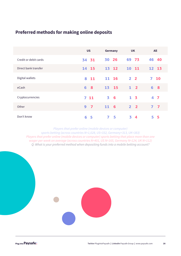## **Preferred methods for making online deposits**

|                       | <b>US</b>                          | Germany        | <b>UK</b>              | All            |
|-----------------------|------------------------------------|----------------|------------------------|----------------|
| Credit or debit cards | 34 31                              | 30 26          | 69 73                  | 46 40          |
| Direct bank transfer  | 14 15                              | 13 12          | 10 11                  | 12 13          |
| Digital wallets       | 8<br><b>11</b>                     | 11 16          | 2 <sub>2</sub>         | 7<br><b>10</b> |
| eCash                 | 6<br>$\overline{\mathbf{8}}$       | 13 15          | $1\quad 2$             | 6 <sub>8</sub> |
| Cryptocurrencies      | $7 \quad 11$                       | 3 <sub>6</sub> | 1 <sub>5</sub>         | 4 7            |
| Other                 | $\boldsymbol{9}$<br>$\overline{7}$ | 11 6           | 2 <sub>2</sub>         | 7 <sub>7</sub> |
| Don't know            | 5<br>6                             | 7<br>5         | 3.<br>$\boldsymbol{4}$ | -5<br>5.       |

**Players that prefer online (mobile devices or computer)** sports betting (across countries N=1,028, US=332, Germany=313, UK=383) Players that prefer online (mobile devices or computer) sports betting that place more than one wager per week on average (across countries N=401, US N=165, Germany N=124, UK N=112) Q: What is your preferred method when depositing funds into a mobile betting account?

Plug into Paysafe: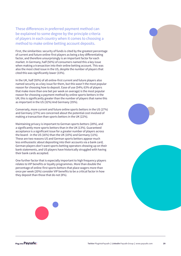These differences in preferred payment method can be explained to some degree by the principle criteria of players in each country when it comes to choosing a method to make online betting account deposits.

First, the similarities: security of funds is cited by the greatest percentage of current and future online-first players as being a key differentiating factor, and therefore unsurprisingly is an important factor for each market. In Germany, half (50%) of consumers named this a key issue when making a transaction into their online betting account. This was also the most cited issue in the US, despite the number of players that cited this was significantly lower (33%).

In the UK, half (50%) of all online-first current and future players also named security as a key issue for them, but this wasn't the most popular reason for choosing how to deposit. Ease of use (54%; 63% of players that make more than one bet per week on average) is the most popular reason for choosing a payment method by online sports bettors in the UK; this is significantly greater than the number of players that name this as important in the US (32%) And Germany (35%).

Conversely, more current and future online sports bettors in the US (27%) and Germany (27%) are concerned about the potential cost involved of making a transaction than sports bettors in the UK (22%).

Maintaining privacy is important to German sports bettors (28%), and a significantly more sports bettors than in the UK (13%). Guaranteed acceptance is a significant issue for a greater number of players across the board - in the US (16%) than the UK (10%) and Germany (11%). These are two reasons US and German sports bettors appear much less enthusiastic about depositing into their accounts via a bank card; German players don't want sports betting operators showing up on their bank statements, and US players have historically struggled with having their bank cards accepted.

One further factor that is especially important to high frequency players relates to VIP benefits or loyalty programmes. More than double the percentage of online-first sports bettors that place wagers more than once per week (20%) consider VIP benefits to be a critical factor in how they deposit than those that do not (8%).

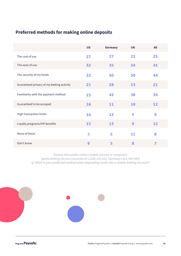## **Preferred methods for making online deposits**

|                                           | <b>US</b> | Germany | <b>UK</b> | All |
|-------------------------------------------|-----------|---------|-----------|-----|
| The cost of use                           | 27        | 27      | 22        | 25  |
| The ease of use                           | 32        | 35      | 54        | 41  |
| The security of my funds                  | 33        | 50      | 50        | 44  |
| Guaranteed privacy of my betting activity | 21        | 28      | 13        | 21  |
| Familiarity with the payment method       | 23        | 42      | 38        | 34  |
| Guaranteed to be acceped                  | 16        | 11      | 10        | 12  |
| <b>High transaction limits</b>            | 10        | 12      | 5         | 9   |
| Loyalty programs/VIP benefits             | 15        | 13      | 9         | 12  |
| None of these                             | 7         | 5       | 11        | 8   |
| Don't know                                | 9         | 5       | 8         | 7   |

Players that prefer online (mobile devices or computer) sports betting (across countries N=1,028, US=332, Germany=313, UK=383) Q: What is your preferred method when depositing funds into a mobile betting account?

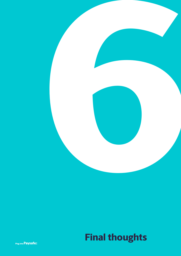

# **Final thoughts**

Plug into **Paysafe:**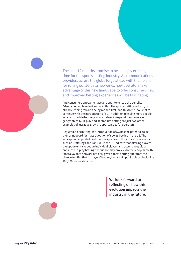

The next 12 months promise to be a hugely exciting time for the sports betting industry. As communications providers across the globe forge ahead with their plans for rolling out 5G data networks, how operators take advantage of this new landscape to offer consumers new and improved betting experiences will be fascinating.

And consumers appear to have an appetite to reap the benefits 5G-enabled mobile devices may offer. The sports betting industry is already leaning towards being mobile-first, and this trend looks set to continue with the introduction of 5G. In addition to giving more people access to mobile betting as data networks expand their coverage geographically, in-play and at-stadium betting are just two other examples of lucrative growth opportunities for operators.

Regulation permitting, the introduction of 5G has the potential to be the springboard for mass adoption of sports betting in the US. The widespread appeal of paid fantasy sports and the success of operators such as DraftKings and FanDuel in the US indicate that offering players the opportunity to bet on individual players and occurrences via an enhanced in-play betting experience may prove extremely popular with fans; a 5G data network not only gives sports betting operators the chance to offer that in players' homes, but also in public places including 100,000 seater stadiums.

> **We look forward to reflecting on how this evolution impacts the industry in the future.**



Plug into Pavsafe: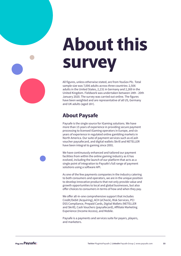# **About this survey**

All figures, unless otherwise stated, are from YouGov Plc. Total sample size was 7,006 adults across three countries: 2,506 adults in the United States, 2,231 in Germany and 2,269 in the United Kingdom. Fieldwork was undertaken between 14th - 20th January 2020. The survey was carried out online. The figures have been weighted and are representative of all US, Germany and UK adults (aged 18+).

## **About Paysafe**

Paysafe is the single source for iGaming solutions. We have more than 15 years of experience in providing secure payment processing to licensed iGaming operators in Europe, and six years of experience in regulated online gambling markets in North America. Our suite of payment services such as eCash voucher paysafecard, and digital wallets Skrill and NETELLER have been integral to gaming since 2001.

We have continuously enhanced and tailored our payment facilities from within the online gaming industry as it has evolved, including the launch of our platform that acts as a single point of integration to Paysafe's full range of payment solutions using a software API.

As one of the few payments companies in the industry catering to both consumers and operators, we are in the unique position to develop innovative products that not only provide value and growth opportunities to local and global businesses, but also offer choices to consumers in terms of how and when they pay.

We offer all-in-one comprehensive support that includes Credit/Debit (Acquiring), ACH (eCheck), Risk Services, PCI DSS Compliance, Prepaid Cards, Digital Wallets (NETELLER and Skrill), Cash Vouchers (paysafecard), Affiliate Marketing Experience (Income Access), and Mobile.

Paysafe is a payments and services suite for payers, players, and marketers.